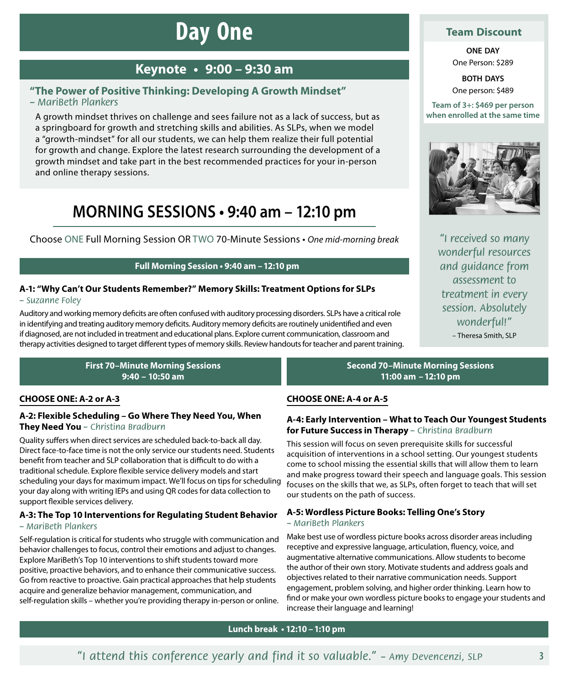# **Day One**

# **Keynote • 9:00 – 9:30 am**

# **"The Power of Positive Thinking: Developing A Growth Mindset"**

*– MariBeth Plankers*

A growth mindset thrives on challenge and sees failure not as a lack of success, but as a springboard for growth and stretching skills and abilities. As SLPs, when we model a "growth-mindset" for all our students, we can help them realize their full potential for growth and change. Explore the latest research surrounding the development of a growth mindset and take part in the best recommended practices for your in-person and online therapy sessions.

# **MORNING SESSIONS • 9:40 am – 12:10 pm**

Choose ONE Full Morning Session OR TWO 70-Minute Sessions • *One mid-morning break "I received so many* 

### **Full Morning Session • 9:40 am –12:10 pm**

### **A‑1: "Why Can't Our Students Remember?" Memory Skills: Treatment Options for SLPs**  *– Suzanne Foley*

Auditory and working memory deficits are often confused with auditory processing disorders. SLPs have a critical role in identifying and treating auditory memory deficits. Auditory memory deficits are routinely unidentified and even if diagnosed, are not included in treatment and educational plans. Explore current communication, classroom and therapy activities designed to target different types of memory skills. Review handouts for teacher and parent training.

> **First 70–Minute Morning Sessions 9:40 – 10:50 am**

# **CHOOSE ONE: A‑2 or A‑3**

### **A‑2: Flexible Scheduling – Go Where They Need You, When They Need You** *– Christina Bradburn*

Quality suffers when direct services are scheduled back-to-back all day. Direct face-to-face time is not the only service our students need. Students benefit from teacher and SLP collaboration that is difficult to do with a traditional schedule. Explore flexible service delivery models and start scheduling your days for maximum impact. We'll focus on tips for scheduling your day along with writing IEPs and using QR codes for data collection to support flexible services delivery.

### **A‑3: The Top 10 Interventions for Regulating Student Behavior**  *– MariBeth Plankers*

Self-regulation is critical for students who struggle with communication and behavior challenges to focus, control their emotions and adjust to changes. Explore MariBeth's Top 10 interventions to shift students toward more positive, proactive behaviors, and to enhance their communicative success. Go from reactive to proactive. Gain practical approaches that help students acquire and generalize behavior management, communication, and self-regulation skills – whether you're providing therapy in-person or online.

## **Team Discount**

**ONE DAY** One Person: \$289

**BOTH DAYS** One person: \$489

**Team of 3+: \$469 per person when enrolled at the same time**



*wonderful resources and guidance from assessment to treatment in every session. Absolutely wonderful!"* – Theresa Smith, SLP

**Second 70–Minute Morning Sessions 11:00 am –12:10 pm**

### **CHOOSE ONE: A‑4 or A‑5**

### **A‑4: Early Intervention – What to Teach Our Youngest Students for Future Success in Therapy** *– Christina Bradburn*

This session will focus on seven prerequisite skills for successful acquisition of interventions in a school setting. Our youngest students come to school missing the essential skills that will allow them to learn and make progress toward their speech and language goals. This session focuses on the skills that we, as SLPs, often forget to teach that will set our students on the path of success.

# **A‑5: Wordless Picture Books: Telling One's Story**

### *– MariBeth Plankers*

Make best use of wordless picture books across disorder areas including receptive and expressive language, articulation, fluency, voice, and augmentative alternative communications. Allow students to become the author of their own story. Motivate students and address goals and objectives related to their narrative communication needs. Support engagement, problem solving, and higher order thinking. Learn how to find or make your own wordless picture books to engage your students and increase their language and learning!

### **Lunch break • 12:10 –1:10 pm**

*"I attend this conference yearly and find it so valuable." – Amy Devencenzi, SLP*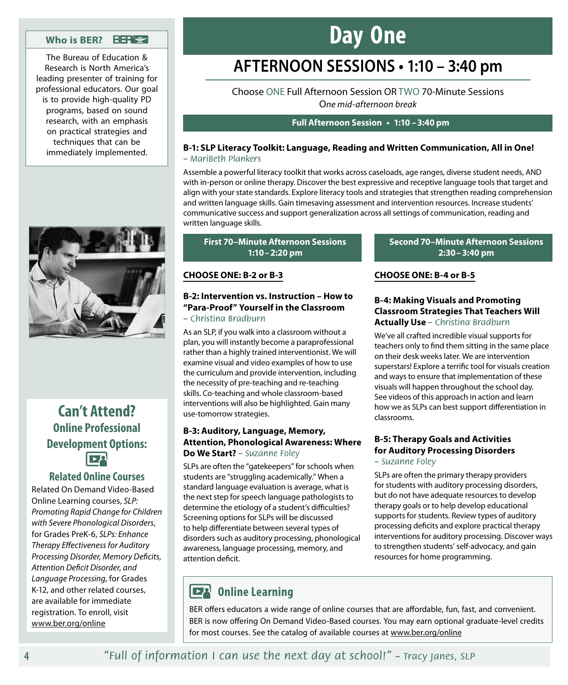### **Who is BER?**

The Bureau of Education & Research is North America's leading presenter of training for professional educators. Our goal is to provide high-quality PD programs, based on sound research, with an emphasis on practical strategies and techniques that can be immediately implemented.

# **Day One**

# **AFTERNOON SESSIONS • 1:10 – 3:40 pm**

Choose ONE Full Afternoon Session OR TWO 70-Minute Sessions O*ne mid-afternoon break*

### **Full Afternoon Session • 1:10 –3:40 pm**

### **B‑1: SLP Literacy Toolkit: Language, Reading and Written Communication, All in One!**  *– MariBeth Plankers*

Assemble a powerful literacy toolkit that works across caseloads, age ranges, diverse student needs, AND with in-person or online therapy. Discover the best expressive and receptive language tools that target and align with your state standards. Explore literacy tools and strategies that strengthen reading comprehension and written language skills. Gain timesaving assessment and intervention resources. Increase students' communicative success and support generalization across all settings of communication, reading and written language skills.

### **First 70–Minute Afternoon Sessions 1:10–2:20 pm**

### **CHOOSE ONE: B‑2 or B‑3**

## **B‑2: Intervention vs. Instruction – How to "Para-Proof" Yourself in the Classroom**

### *– Christina Bradburn*

As an SLP, if you walk into a classroom without a plan, you will instantly become a paraprofessional rather than a highly trained interventionist. We will examine visual and video examples of how to use the curriculum and provide intervention, including the necessity of pre-teaching and re-teaching skills. Co-teaching and whole classroom-based interventions will also be highlighted. Gain many use-tomorrow strategies.

### **B‑3: Auditory, Language, Memory, Attention, Phonological Awareness: Where Do We Start?** *– Suzanne Foley*

SLPs are often the "gatekeepers" for schools when students are "struggling academically." When a standard language evaluation is average, what is the next step for speech language pathologists to determine the etiology of a student's difficulties? Screening options for SLPs will be discussed to help differentiate between several types of disorders such as auditory processing, phonological awareness, language processing, memory, and attention deficit.

### **Second 70–Minute Afternoon Sessions 2:30–3:40 pm**

### **CHOOSE ONE: B‑4 or B‑5**

### **B‑4: Making Visuals and Promoting Classroom Strategies That Teachers Will Actually Use** *– Christina Bradburn*

We've all crafted incredible visual supports for teachers only to find them sitting in the same place on their desk weeks later. We are intervention superstars! Explore a terrific tool for visuals creation and ways to ensure that implementation of these visuals will happen throughout the school day. See videos of this approach in action and learn how we as SLPs can best support differentiation in classrooms.

### **B‑5: Therapy Goals and Activities for Auditory Processing Disorders**

#### *– Suzanne Foley*

SLPs are often the primary therapy providers for students with auditory processing disorders, but do not have adequate resources to develop therapy goals or to help develop educational supports for students. Review types of auditory processing deficits and explore practical therapy interventions for auditory processing. Discover ways to strengthen students' self-advocacy, and gain resources for home programming.

# **DA** Online Learning

BER offers educators a wide range of online courses that are affordable, fun, fast, and convenient. BER is now offering On Demand Video-Based courses. You may earn optional graduate-level credits for most courses. See the catalog of available courses at www.ber.org/online



# **Can't Attend? Online Professional Development Options: DO**

## **Related Online Courses**

Related On Demand Video-Based Online Learning courses, *SLP: Promoting Rapid Change for Children with Severe Phonological Disorders*, for Grades PreK-6, *SLPs: Enhance Therapy Effectiveness for Auditory Processing Disorder, Memory Deficits, Attention Deficit Disorder, and Language Processing*, for Grades K-12, and other related courses, are available for immediate registration. To enroll, visit www.ber.org/online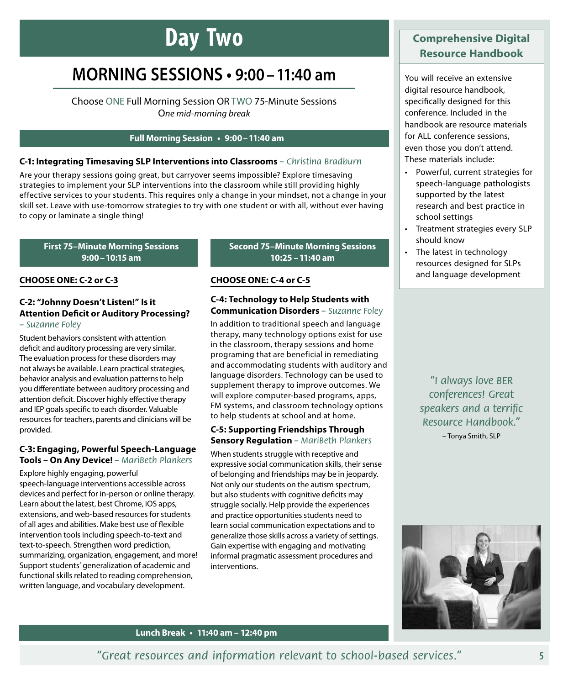# **Day Two**

# **MORNING SESSIONS • 9:00–11:40 am**

Choose ONE Full Morning Session OR TWO 75-Minute Sessions O*ne mid-morning break*

### **Full Morning Session • 9:00–11:40 am**

#### **C‑1: Integrating Timesaving SLP Interventions into Classrooms** *– Christina Bradburn*

Are your therapy sessions going great, but carryover seems impossible? Explore timesaving strategies to implement your SLP interventions into the classroom while still providing highly effective services to your students. This requires only a change in your mindset, not a change in your skill set. Leave with use-tomorrow strategies to try with one student or with all, without ever having to copy or laminate a single thing!

#### **First 75–Minute Morning Sessions 9:00–10:15 am**

#### **CHOOSE ONE: C‑2 or C‑3**

#### **C‑2: "Johnny Doesn't Listen!" Is it Attention Deficit or Auditory Processing?**  *– Suzanne Foley*

Student behaviors consistent with attention deficit and auditory processing are very similar. The evaluation process for these disorders may not always be available. Learn practical strategies, behavior analysis and evaluation patterns to help you differentiate between auditory processing and attention deficit. Discover highly effective therapy and IEP goals specific to each disorder. Valuable resources for teachers, parents and clinicians will be provided.

### **C‑3: Engaging, Powerful Speech-Language Tools – On Any Device!** *– MariBeth Plankers*

Explore highly engaging, powerful speech-language interventions accessible across devices and perfect for in-person or online therapy. Learn about the latest, best Chrome, iOS apps, extensions, and web-based resources for students of all ages and abilities. Make best use of flexible intervention tools including speech-to-text and text-to-speech. Strengthen word prediction, summarizing, organization, engagement, and more! Support students' generalization of academic and functional skills related to reading comprehension, written language, and vocabulary development.

### **Second 75–Minute Morning Sessions 10:25 –11:40 am**

### **CHOOSE ONE: C‑4 or C‑5**

#### **C‑4: Technology to Help Students with Communication Disorders** *– Suzanne Foley*

In addition to traditional speech and language therapy, many technology options exist for use in the classroom, therapy sessions and home programing that are beneficial in remediating and accommodating students with auditory and language disorders. Technology can be used to supplement therapy to improve outcomes. We will explore computer-based programs, apps, FM systems, and classroom technology options to help students at school and at home.

### **C‑5: Supporting Friendships Through Sensory Regulation** *– MariBeth Plankers*

When students struggle with receptive and expressive social communication skills, their sense of belonging and friendships may be in jeopardy. Not only our students on the autism spectrum, but also students with cognitive deficits may struggle socially. Help provide the experiences and practice opportunities students need to learn social communication expectations and to generalize those skills across a variety of settings. Gain expertise with engaging and motivating informal pragmatic assessment procedures and interventions.

# **Comprehensive Digital Resource Handbook**

You will receive an extensive digital resource handbook, specifically designed for this conference. Included in the handbook are resource materials for ALL conference sessions, even those you don't attend. These materials include:

- Powerful, current strategies for speech-language pathologists supported by the latest research and best practice in school settings
- Treatment strategies every SLP should know
- The latest in technology resources designed for SLPs and language development

*"I always love BER conferences! Great speakers and a terrific Resource Handbook."* – Tonya Smith, SLP



**Lunch Break • 11:40 am – 12:40 pm**

*"Great resources and information relevant to school-based services."*